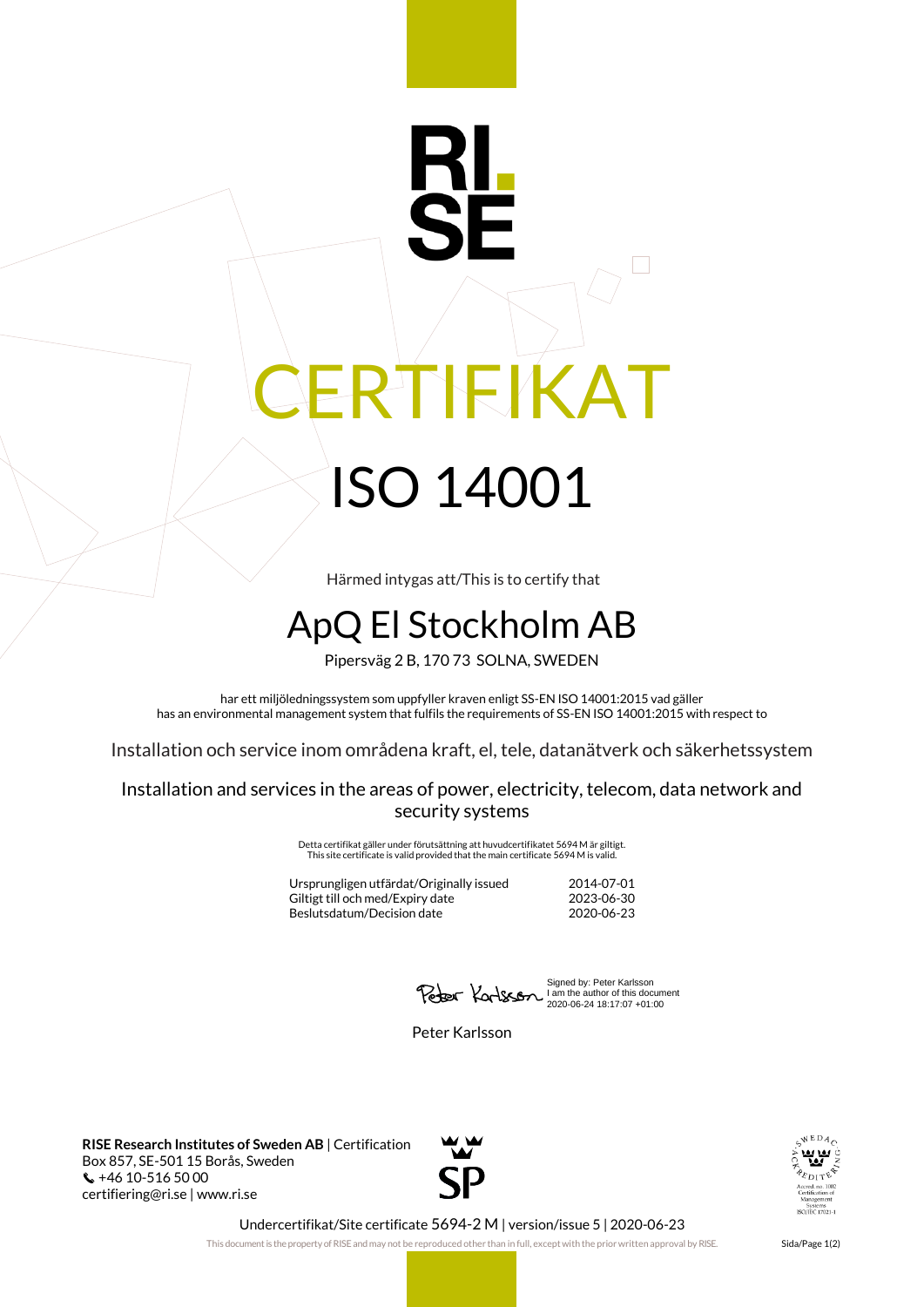## RTIFIKAT ISO 14001

Härmed intygas att/This is to certify that

## ApQ El Stockholm AB

Pipersväg 2 B, 170 73 SOLNA, SWEDEN

har ett miljöledningssystem som uppfyller kraven enligt SS-EN ISO 14001:2015 vad gäller has an environmental management system that fulfils the requirements of SS-EN ISO 14001:2015 with respect to

Installation och service inom områdena kraft, el, tele, datanätverk och säkerhetssystem

Installation and services in the areas of power, electricity, telecom, data network and security systems

> Detta certifikat gäller under förutsättning att huvudcertifikatet 5694 M är giltigt. This site certificate is valid provided that the main certificate 5694 M is valid.

Ursprungligen utfärdat/Originally issued 2014-07-01 Giltigt till och med/Expiry date Beslutsdatum/Decision date 2020-06-23

Signed by: Peter Karlsson I am the author of this document 2020-06-24 18:17:07 +01:00

Peter Karlsson

**RISE Research Institutes of Sweden AB** | Certification Box 857, SE-501 15 Borås, Sweden  $\binom{1}{2}$  +46 10-516 50 00 certifiering@ri.se | www.ri.se





Undercertifikat/Site certificate 5694-2 M | version/issue 5 | 2020-06-23

This document is the property of RISE and may not be reproduced other than in full, except with the prior written approval by RISE. Sida/Page 1(2)